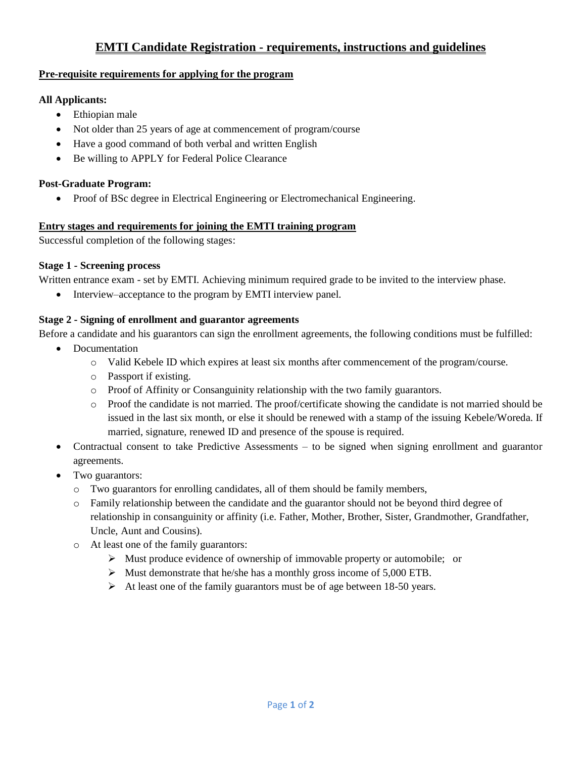# **EMTI Candidate Registration - requirements, instructions and guidelines**

### **Pre-requisite requirements for applying for the program**

### **All Applicants:**

- Ethiopian male
- Not older than 25 years of age at commencement of program/course
- Have a good command of both verbal and written English
- Be willing to APPLY for Federal Police Clearance

# **Post-Graduate Program:**

• Proof of BSc degree in Electrical Engineering or Electromechanical Engineering.

### **Entry stages and requirements for joining the EMTI training program**

Successful completion of the following stages:

# **Stage 1 - Screening process**

Written entrance exam - set by EMTI. Achieving minimum required grade to be invited to the interview phase.

• Interview–acceptance to the program by EMTI interview panel.

# **Stage 2 - Signing of enrollment and guarantor agreements**

Before a candidate and his guarantors can sign the enrollment agreements, the following conditions must be fulfilled:

- Documentation
	- o Valid Kebele ID which expires at least six months after commencement of the program/course.
	- o Passport if existing.
	- o Proof of Affinity or Consanguinity relationship with the two family guarantors.
	- o Proof the candidate is not married. The proof/certificate showing the candidate is not married should be issued in the last six month, or else it should be renewed with a stamp of the issuing Kebele/Woreda. If married, signature, renewed ID and presence of the spouse is required.
- Contractual consent to take Predictive Assessments to be signed when signing enrollment and guarantor agreements.
- Two guarantors:
	- o Two guarantors for enrolling candidates, all of them should be family members,
	- o Family relationship between the candidate and the guarantor should not be beyond third degree of relationship in consanguinity or affinity (i.e. Father, Mother, Brother, Sister, Grandmother, Grandfather, Uncle, Aunt and Cousins).
	- o At least one of the family guarantors:
		- ➢ Must produce evidence of ownership of immovable property or automobile; or
		- $\triangleright$  Must demonstrate that he/she has a monthly gross income of 5,000 ETB.
		- ➢ At least one of the family guarantors must be of age between 18-50 years.